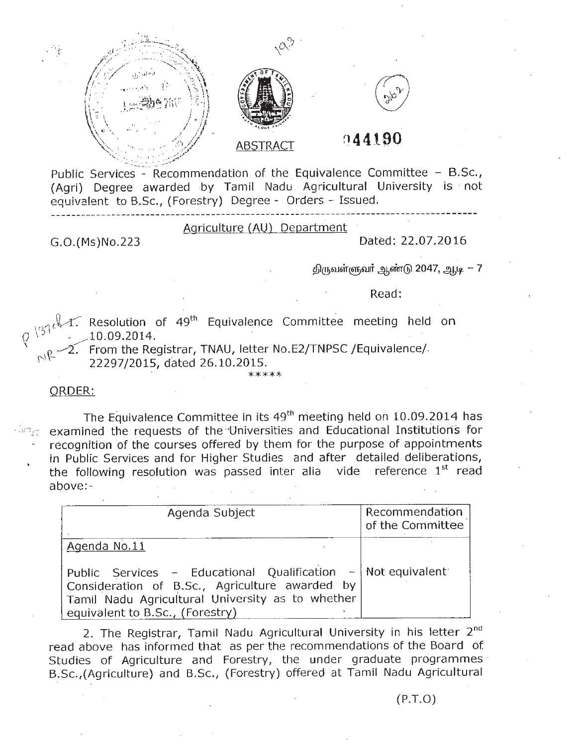

Public Services - Recommendation of the Equivalence Committee - B.Sc., (Agri) Degree awarded by Tamil Nadu Agricultural University is not equivalent to B.Sc., (Forestry) Degree - Orders - Issued.

Agriculture (AU) Department

**------------------------------------------\_.,-----------------------------------------**

G.O.(Ms)No.223

Dated: 22.07.2016

 $\beta$ ருவள்ளுவா் ஆண்டு 2047, ஆடி  $-7$ 

Read:

 $\mathcal{M}_1\subset\mathcal{M}_2$  Resolution of 49<sup>th</sup> Equivalence Committee meeting held on Q) ."~\_10.09.2014. . .

2. From the Registrar, TNAU, letter No.E2/TNPSC /Equivalence/ \'\ ~ 22297/2015, dated 26.10.2015.

## **\*.\*\*\*\***

## ORDER:

The Equivalence Committee in its 49<sup>th</sup> meeting held on 10.09.2014 has examined the requests of the "Universities and Educational Institutions for recognition of the courses offered by them for the purpose of appointments in Public Services and for Higher Studies and after detailed deliberations, the following resolution was passed inter alia vide reference 1st read above:-

| Agenda Subject                                                                                                                                                                                          | Recommendation<br>of the Committee |
|---------------------------------------------------------------------------------------------------------------------------------------------------------------------------------------------------------|------------------------------------|
| Agenda No.11                                                                                                                                                                                            |                                    |
| Public Services - Educational Qualification $-$ Not equivalent<br>Consideration of B.Sc., Agriculture awarded by<br>Tamil Nadu Agricultural University as to whether<br>equivalent to B.Sc., (Forestry) |                                    |

2. The Registrar, Tamil Nadu Agricultural University in his letter 2<sup>nd</sup> read above has informed that as per the recommendations of the Board of Studies of Agriculture and Forestry, the under graduate programmes B.Sc./(Agriculture) and B.Sc., (Forestry) offered at Tamil Nadu Agricultural